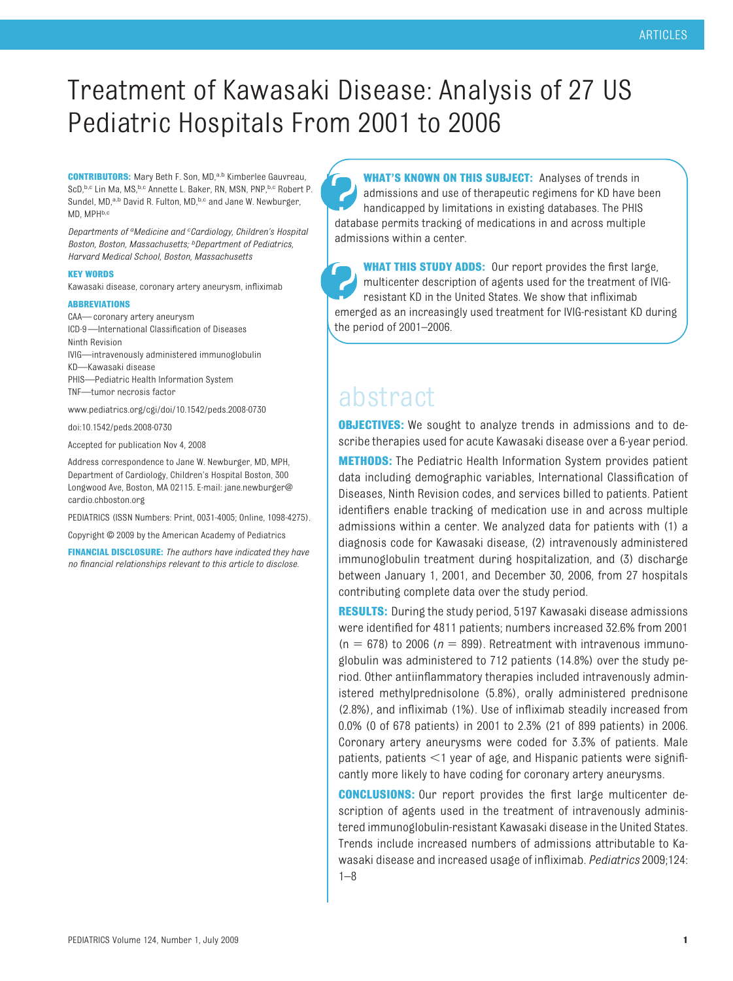# Treatment of Kawasaki Disease: Analysis of 27 US Pediatric Hospitals From 2001 to 2006

**CONTRIBUTORS:** Mary Beth F. Son, MD,<sup>a,b</sup> Kimberlee Gauvreau, ScD, b,c Lin Ma, MS, b,c Annette L. Baker, RN, MSN, PNP, b,c Robert P. Sundel, MD,<sup>a,b</sup> David R. Fulton, MD,<sup>b,c</sup> and Jane W. Newburger, MD, MPH<sub>b,c</sub>

*Departments of aMedicine and <sup>c</sup> Cardiology, Children's Hospital Boston, Boston, Massachusetts; bDepartment of Pediatrics, Harvard Medical School, Boston, Massachusetts*

#### **KEY WORDS**

Kawasaki disease, coronary artery aneurysm, infliximab

#### **ABBREVIATIONS**

CAA— coronary artery aneurysm ICD-9—International Classification of Diseases Ninth Revision

- IVIG—intravenously administered immunoglobulin
- KD—Kawasaki disease
- PHIS—Pediatric Health Information System
- TNF—tumor necrosis factor
- www.pediatrics.org/cgi/doi/10.1542/peds.2008-0730

#### doi:10.1542/peds.2008-0730

Accepted for publication Nov 4, 2008

Address correspondence to Jane W. Newburger, MD, MPH, Department of Cardiology, Children's Hospital Boston, 300 Longwood Ave, Boston, MA 02115. E-mail: jane.newburger@ cardio.chboston.org

PEDIATRICS (ISSN Numbers: Print, 0031-4005; Online, 1098-4275).

Copyright © 2009 by the American Academy of Pediatrics

**FINANCIAL DISCLOSURE:** *The authors have indicated they have no financial relationships relevant to this article to disclose.*

**WHAT'S KNOWN ON THIS SUBJECT:** Analyses of trends in admissions and use of therapeutic regimens for KD have been handicapped by limitations in existing databases. The PHIS database permits tracking of medications in and across multiple admissions within a center.

**WHAT THIS STUDY ADDS:** Our report provides the first large, multicenter description of agents used for the treatment of IVIGresistant KD in the United States. We show that infliximab emerged as an increasingly used treatment for IVIG-resistant KD during the period of 2001–2006.

## abstract

**OBJECTIVES:** We sought to analyze trends in admissions and to describe therapies used for acute Kawasaki disease over a 6-year period.

**METHODS:** The Pediatric Health Information System provides patient data including demographic variables, International Classification of Diseases, Ninth Revision codes, and services billed to patients. Patient identifiers enable tracking of medication use in and across multiple admissions within a center. We analyzed data for patients with (1) a diagnosis code for Kawasaki disease, (2) intravenously administered immunoglobulin treatment during hospitalization, and (3) discharge between January 1, 2001, and December 30, 2006, from 27 hospitals contributing complete data over the study period.

**RESULTS:** During the study period, 5197 Kawasaki disease admissions were identified for 4811 patients; numbers increased 32.6% from 2001  $(n = 678)$  to 2006 ( $n = 899$ ). Retreatment with intravenous immunoglobulin was administered to 712 patients (14.8%) over the study period. Other antiinflammatory therapies included intravenously administered methylprednisolone (5.8%), orally administered prednisone (2.8%), and infliximab (1%). Use of infliximab steadily increased from 0.0% (0 of 678 patients) in 2001 to 2.3% (21 of 899 patients) in 2006. Coronary artery aneurysms were coded for 3.3% of patients. Male patients, patients <1 year of age, and Hispanic patients were significantly more likely to have coding for coronary artery aneurysms.

**CONCLUSIONS:** Our report provides the first large multicenter description of agents used in the treatment of intravenously administered immunoglobulin-resistant Kawasaki disease in the United States. Trends include increased numbers of admissions attributable to Kawasaki disease and increased usage of infliximab. *Pediatrics* 2009;124: 1–8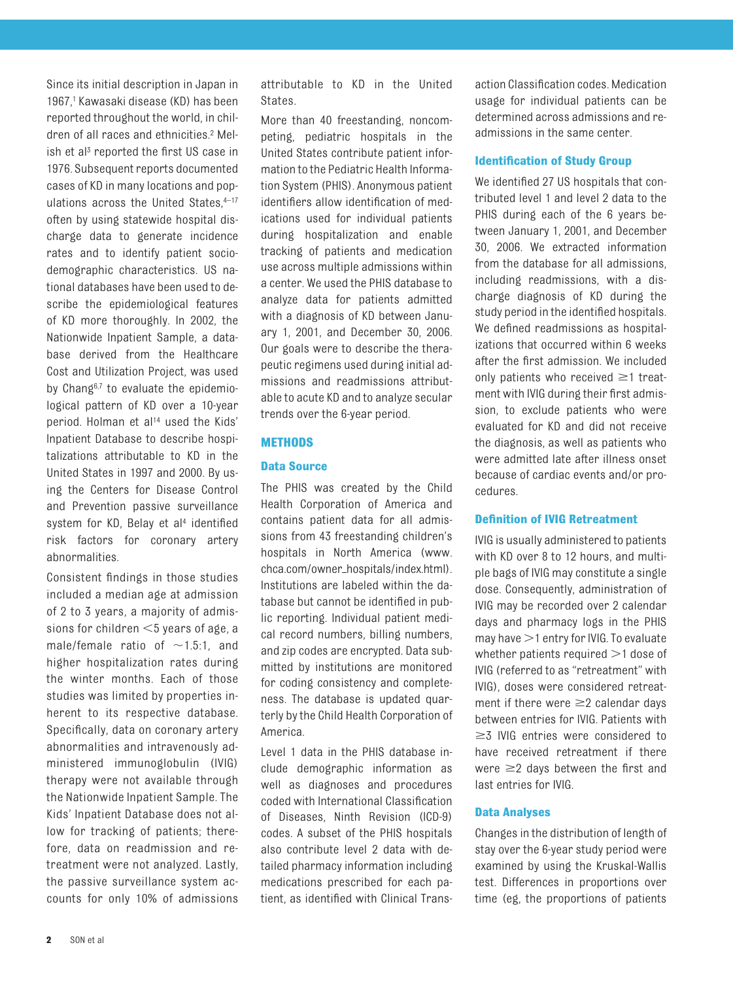Since its initial description in Japan in 1967,1 Kawasaki disease (KD) has been reported throughout the world, in children of all races and ethnicities.2 Melish et al<sup>3</sup> reported the first US case in 1976. Subsequent reports documented cases of KD in many locations and populations across the United States, 4-17 often by using statewide hospital discharge data to generate incidence rates and to identify patient sociodemographic characteristics. US national databases have been used to describe the epidemiological features of KD more thoroughly. In 2002, the Nationwide Inpatient Sample, a database derived from the Healthcare Cost and Utilization Project, was used by Chang<sup>6,7</sup> to evaluate the epidemiological pattern of KD over a 10-year period. Holman et al<sup>14</sup> used the Kids' Inpatient Database to describe hospitalizations attributable to KD in the United States in 1997 and 2000. By using the Centers for Disease Control and Prevention passive surveillance system for KD, Belay et al<sup>4</sup> identified risk factors for coronary artery abnormalities.

Consistent findings in those studies included a median age at admission of 2 to 3 years, a majority of admissions for children  $<$ 5 years of age, a male/female ratio of  $\sim$ 1.5:1, and higher hospitalization rates during the winter months. Each of those studies was limited by properties inherent to its respective database. Specifically, data on coronary artery abnormalities and intravenously administered immunoglobulin (IVIG) therapy were not available through the Nationwide Inpatient Sample. The Kids' Inpatient Database does not allow for tracking of patients; therefore, data on readmission and retreatment were not analyzed. Lastly, the passive surveillance system accounts for only 10% of admissions attributable to KD in the United States.

More than 40 freestanding, noncompeting, pediatric hospitals in the United States contribute patient information to the Pediatric Health Information System (PHIS). Anonymous patient identifiers allow identification of medications used for individual patients during hospitalization and enable tracking of patients and medication use across multiple admissions within a center. We used the PHIS database to analyze data for patients admitted with a diagnosis of KD between January 1, 2001, and December 30, 2006. Our goals were to describe the therapeutic regimens used during initial admissions and readmissions attributable to acute KD and to analyze secular trends over the 6-year period.

## **METHODS**

## **Data Source**

The PHIS was created by the Child Health Corporation of America and contains patient data for all admissions from 43 freestanding children's hospitals in North America (www. chca.com/owner\_hospitals/index.html). Institutions are labeled within the database but cannot be identified in public reporting. Individual patient medical record numbers, billing numbers, and zip codes are encrypted. Data submitted by institutions are monitored for coding consistency and completeness. The database is updated quarterly by the Child Health Corporation of America.

Level 1 data in the PHIS database include demographic information as well as diagnoses and procedures coded with International Classification of Diseases, Ninth Revision (ICD-9) codes. A subset of the PHIS hospitals also contribute level 2 data with detailed pharmacy information including medications prescribed for each patient, as identified with Clinical Transaction Classification codes. Medication usage for individual patients can be determined across admissions and readmissions in the same center.

#### **Identification of Study Group**

We identified 27 US hospitals that contributed level 1 and level 2 data to the PHIS during each of the 6 years between January 1, 2001, and December 30, 2006. We extracted information from the database for all admissions, including readmissions, with a discharge diagnosis of KD during the study period in the identified hospitals. We defined readmissions as hospitalizations that occurred within 6 weeks after the first admission. We included only patients who received  $\geq$ 1 treatment with IVIG during their first admission, to exclude patients who were evaluated for KD and did not receive the diagnosis, as well as patients who were admitted late after illness onset because of cardiac events and/or procedures.

## **Definition of IVIG Retreatment**

IVIG is usually administered to patients with KD over 8 to 12 hours, and multiple bags of IVIG may constitute a single dose. Consequently, administration of IVIG may be recorded over 2 calendar days and pharmacy logs in the PHIS may have  $>$  1 entry for IVIG. To evaluate whether patients required  $>1$  dose of IVIG (referred to as "retreatment" with IVIG), doses were considered retreatment if there were  $\geq$  calendar days between entries for IVIG. Patients with  $\geq$  IVIG entries were considered to have received retreatment if there were  $\geq$ 2 days between the first and last entries for IVIG.

## **Data Analyses**

Changes in the distribution of length of stay over the 6-year study period were examined by using the Kruskal-Wallis test. Differences in proportions over time (eg, the proportions of patients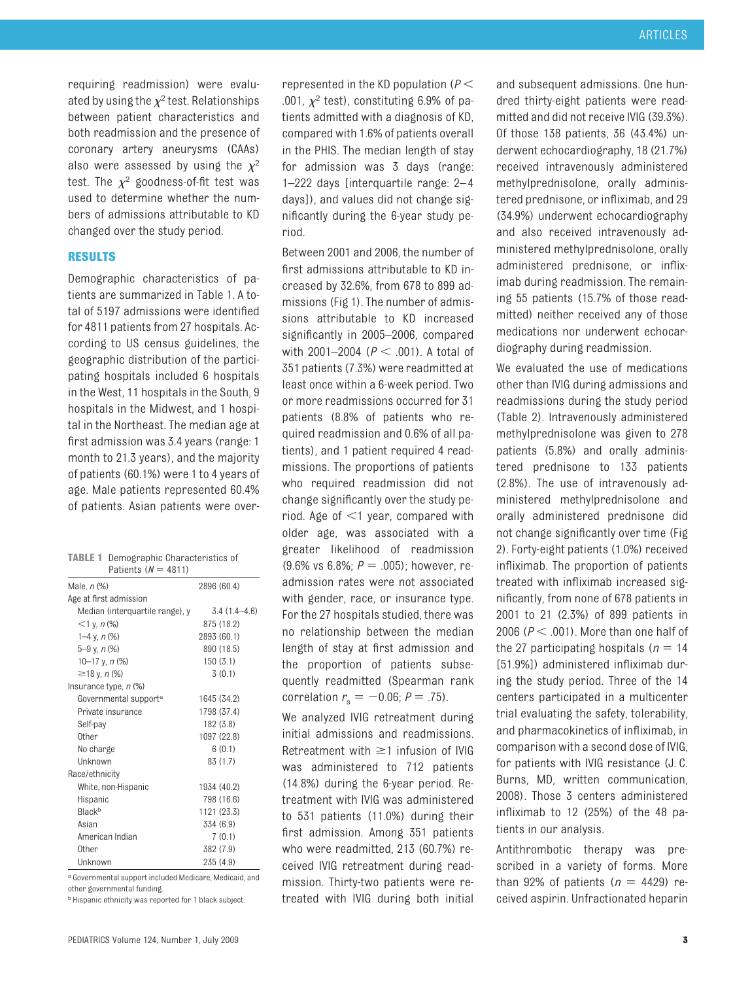requiring readmission) were evaluated by using the  $\chi^2$  test. Relationships between patient characteristics and both readmission and the presence of coronary artery aneurysms (CAAs) also were assessed by using the  $\chi^2$ test. The  $\chi^2$  goodness-of-fit test was used to determine whether the numbers of admissions attributable to KD changed over the study period.

## **RESULTS**

Demographic characteristics of patients are summarized in Table 1. A total of 5197 admissions were identified for 4811 patients from 27 hospitals. According to US census guidelines, the geographic distribution of the participating hospitals included 6 hospitals in the West, 11 hospitals in the South, 9 hospitals in the Midwest, and 1 hospital in the Northeast. The median age at first admission was 3.4 years (range: 1 month to 21.3 years), and the majority of patients (60.1%) were 1 to 4 years of age. Male patients represented 60.4% of patients. Asian patients were over-

| <b>TABLE 1</b> Demographic Characteristics of<br>Patients $(N = 4811)$ |                  |
|------------------------------------------------------------------------|------------------|
| Male, <i>n</i> (%)                                                     | 2896 (60.4)      |
| Age at first admission                                                 |                  |
| Median (interquartile range), y                                        | $3.4(1.4 - 4.6)$ |
| $<$ 1 y, n $\frac{9}{6}$                                               | 875 (18.2)       |
| 1–4 y, $n$ (%)                                                         | 2893 (60.1)      |
| $5-9$ y, n $(%)$                                                       | 890 (18.5)       |
| 10–17 y, n $\frac{9}{6}$                                               | 150(3.1)         |
| $≥18$ y, n (%)                                                         | 3(0.1)           |
| Insurance type, $n$ $%$                                                |                  |
| Governmental support <sup>a</sup>                                      | 1645 (34.2)      |
| Private insurance                                                      | 1798 (37.4)      |
| Self-pay                                                               | 182(3.8)         |
| Other                                                                  | 1097 (22.8)      |
| No charge                                                              | 6(0.1)           |
| Unknown                                                                | 83 (1.7)         |
| Race/ethnicity                                                         |                  |
| White, non-Hispanic                                                    | 1934 (40.2)      |
| Hispanic                                                               | 798 (16.6)       |
| <b>Rlack</b> b                                                         | 1121 (23.3)      |
| Asian                                                                  | 334 (6.9)        |
| American Indian                                                        | 7(0.1)           |
| 0ther                                                                  | 382 (7.9)        |
| Unknown                                                                | 235 (4.9)        |

a Governmental support included Medicare, Medicaid, and other governmental funding.

**b** Hispanic ethnicity was reported for 1 black subject.

represented in the KD population ( $P$   $<$ .001,  $\chi^2$  test), constituting 6.9% of patients admitted with a diagnosis of KD, compared with 1.6% of patients overall in the PHIS. The median length of stay for admission was 3 days (range: 1–222 days [interquartile range: 2– 4 days]), and values did not change significantly during the 6-year study period.

Between 2001 and 2006, the number of first admissions attributable to KD increased by 32.6%, from 678 to 899 admissions (Fig 1). The number of admissions attributable to KD increased significantly in 2005–2006, compared with  $2001 - 2004$  ( $P < .001$ ). A total of 351 patients (7.3%) were readmitted at least once within a 6-week period. Two or more readmissions occurred for 31 patients (8.8% of patients who required readmission and 0.6% of all patients), and 1 patient required 4 readmissions. The proportions of patients who required readmission did not change significantly over the study period. Age of  $\leq$ 1 year, compared with older age, was associated with a greater likelihood of readmission (9.6% vs 6.8%;  $P = .005$ ); however, readmission rates were not associated with gender, race, or insurance type. For the 27 hospitals studied, there was no relationship between the median length of stay at first admission and the proportion of patients subsequently readmitted (Spearman rank correlation  $r_s = -0.06; P = .75$ .

We analyzed IVIG retreatment during initial admissions and readmissions. Retreatment with  $\geq 1$  infusion of IVIG was administered to 712 patients (14.8%) during the 6-year period. Retreatment with IVIG was administered to 531 patients (11.0%) during their first admission. Among 351 patients who were readmitted, 213 (60.7%) received IVIG retreatment during readmission. Thirty-two patients were retreated with IVIG during both initial and subsequent admissions. One hundred thirty-eight patients were readmitted and did not receive IVIG (39.3%). Of those 138 patients, 36 (43.4%) underwent echocardiography, 18 (21.7%) received intravenously administered methylprednisolone, orally administered prednisone, or infliximab, and 29 (34.9%) underwent echocardiography and also received intravenously administered methylprednisolone, orally administered prednisone, or infliximab during readmission. The remaining 55 patients (15.7% of those readmitted) neither received any of those medications nor underwent echocardiography during readmission.

We evaluated the use of medications other than IVIG during admissions and readmissions during the study period (Table 2). Intravenously administered methylprednisolone was given to 278 patients (5.8%) and orally administered prednisone to 133 patients (2.8%). The use of intravenously administered methylprednisolone and orally administered prednisone did not change significantly over time (Fig 2). Forty-eight patients (1.0%) received infliximab. The proportion of patients treated with infliximab increased significantly, from none of 678 patients in 2001 to 21 (2.3%) of 899 patients in  $2006$  ( $P < .001$ ). More than one half of the 27 participating hospitals ( $n = 14$ ) [51.9%]) administered infliximab during the study period. Three of the 14 centers participated in a multicenter trial evaluating the safety, tolerability, and pharmacokinetics of infliximab, in comparison with a second dose of IVIG, for patients with IVIG resistance (J. C. Burns, MD, written communication, 2008). Those 3 centers administered infliximab to 12 (25%) of the 48 patients in our analysis.

Antithrombotic therapy was prescribed in a variety of forms. More than 92% of patients  $(n = 4429)$  received aspirin. Unfractionated heparin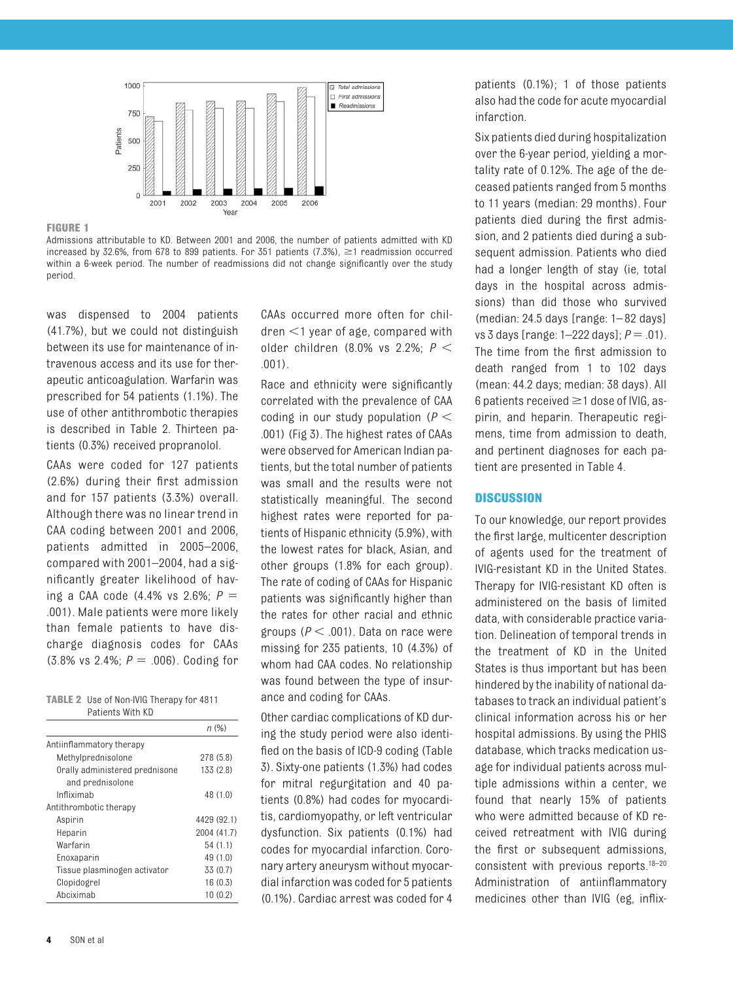

#### **FIGURE 1**

Admissions attributable to KD. Between 2001 and 2006, the number of patients admitted with KD increased by 32.6%, from 678 to 899 patients. For 351 patients  $(7.3%)$ ,  $\geq 1$  readmission occurred within a 6-week period. The number of readmissions did not change significantly over the study period.

was dispensed to 2004 patients (41.7%), but we could not distinguish between its use for maintenance of intravenous access and its use for therapeutic anticoagulation. Warfarin was prescribed for 54 patients (1.1%). The use of other antithrombotic therapies is described in Table 2. Thirteen patients (0.3%) received propranolol.

CAAs were coded for 127 patients (2.6%) during their first admission and for 157 patients (3.3%) overall. Although there was no linear trend in CAA coding between 2001 and 2006, patients admitted in 2005–2006, compared with 2001–2004, had a significantly greater likelihood of having a CAA code (4.4% vs 2.6%; *P* .001). Male patients were more likely than female patients to have discharge diagnosis codes for CAAs (3.8% vs 2.4%;  $P = .006$ ). Coding for

| <b>TABLE 2</b> Use of Non-IVIG Therapy for 4811 |
|-------------------------------------------------|
| Patients With KD                                |

|                                | n(%)        |
|--------------------------------|-------------|
| Antiinflammatory therapy       |             |
| Methylprednisolone             | 278 (5.8)   |
| Orally administered prednisone | 133 (2.8)   |
| and prednisolone               |             |
| Infliximah                     | 48 (1.0)    |
| Antithrombotic therapy         |             |
| Aspirin                        | 4429 (92.1) |
| Heparin                        | 2004 (41.7) |
| Warfarin                       | 54 (1.1)    |
| Enoxaparin                     | 49 (1.0)    |
| Tissue plasminogen activator   | 33 (0.7)    |
| Clopidogrel                    | 16(0.3)     |
| Abciximab                      | 10(0.2)     |

CAAs occurred more often for children  $<$ 1 year of age, compared with older children (8.0% vs 2.2%;  $P <$ .001).

Race and ethnicity were significantly correlated with the prevalence of CAA coding in our study population ( $P <$ .001) (Fig 3). The highest rates of CAAs were observed for American Indian patients, but the total number of patients was small and the results were not statistically meaningful. The second highest rates were reported for patients of Hispanic ethnicity (5.9%), with the lowest rates for black, Asian, and other groups (1.8% for each group). The rate of coding of CAAs for Hispanic patients was significantly higher than the rates for other racial and ethnic groups ( $P < .001$ ). Data on race were missing for 235 patients, 10 (4.3%) of whom had CAA codes. No relationship was found between the type of insurance and coding for CAAs.

Other cardiac complications of KD during the study period were also identified on the basis of ICD-9 coding (Table 3). Sixty-one patients (1.3%) had codes for mitral regurgitation and 40 patients (0.8%) had codes for myocarditis, cardiomyopathy, or left ventricular dysfunction. Six patients (0.1%) had codes for myocardial infarction. Coronary artery aneurysm without myocardial infarction was coded for 5 patients (0.1%). Cardiac arrest was coded for 4

patients (0.1%); 1 of those patients also had the code for acute myocardial infarction.

Six patients died during hospitalization over the 6-year period, yielding a mortality rate of 0.12%. The age of the deceased patients ranged from 5 months to 11 years (median: 29 months). Four patients died during the first admission, and 2 patients died during a subsequent admission. Patients who died had a longer length of stay (ie, total days in the hospital across admissions) than did those who survived (median: 24.5 days [range: 1– 82 days] vs 3 days [range:  $1-222$  days];  $P = .01$ ). The time from the first admission to death ranged from 1 to 102 days (mean: 44.2 days; median: 38 days). All 6 patients received  $\geq$  1 dose of IVIG, aspirin, and heparin. Therapeutic regimens, time from admission to death, and pertinent diagnoses for each patient are presented in Table 4.

## **DISCUSSION**

To our knowledge, our report provides the first large, multicenter description of agents used for the treatment of IVIG-resistant KD in the United States. Therapy for IVIG-resistant KD often is administered on the basis of limited data, with considerable practice variation. Delineation of temporal trends in the treatment of KD in the United States is thus important but has been hindered by the inability of national databases to track an individual patient's clinical information across his or her hospital admissions. By using the PHIS database, which tracks medication usage for individual patients across multiple admissions within a center, we found that nearly 15% of patients who were admitted because of KD received retreatment with IVIG during the first or subsequent admissions, consistent with previous reports.18–20 Administration of antiinflammatory medicines other than IVIG (eg, inflix-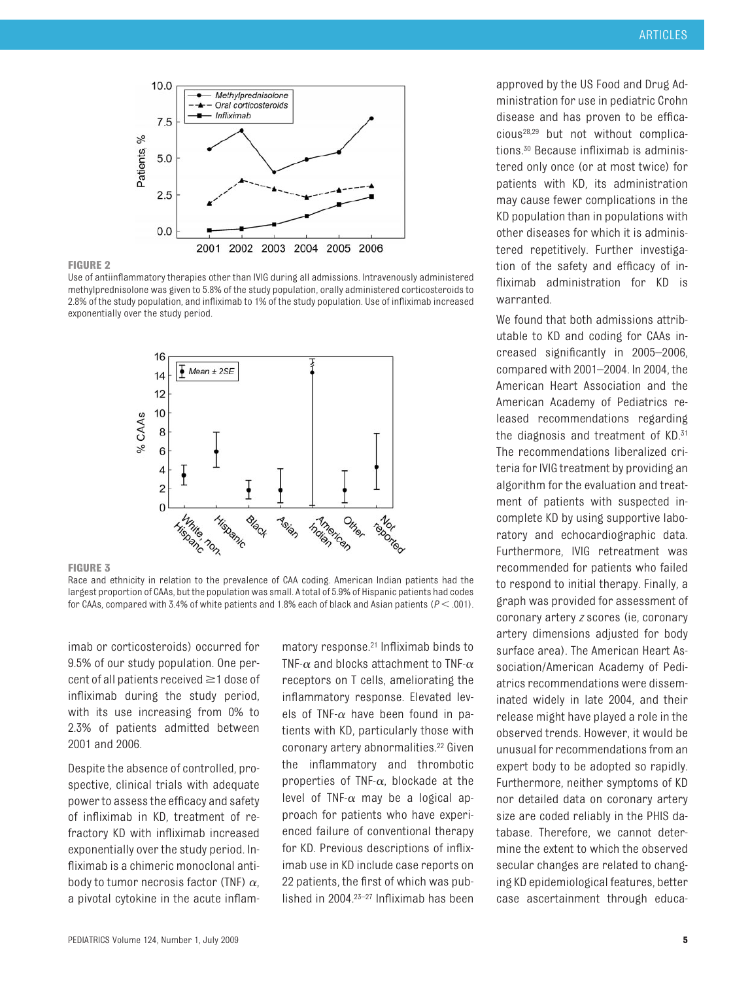

#### **FIGURE 2**

Use of antiinflammatory therapies other than IVIG during all admissions. Intravenously administered methylprednisolone was given to 5.8% of the study population, orally administered corticosteroids to 2.8% of the study population, and infliximab to 1% of the study population. Use of infliximab increased exponentially over the study period.



#### **FIGURE 3**

Race and ethnicity in relation to the prevalence of CAA coding. American Indian patients had the largest proportion of CAAs, but the population was small. A total of 5.9% of Hispanic patients had codes for CAAs, compared with 3.4% of white patients and 1.8% each of black and Asian patients ( $\mathit{P}\mathord{\leq}.001$ ).

imab or corticosteroids) occurred for 9.5% of our study population. One percent of all patients received  $\geq$  1 dose of infliximab during the study period, with its use increasing from 0% to 2.3% of patients admitted between 2001 and 2006.

Despite the absence of controlled, prospective, clinical trials with adequate power to assess the efficacy and safety of infliximab in KD, treatment of refractory KD with infliximab increased exponentially over the study period. Infliximab is a chimeric monoclonal antibody to tumor necrosis factor (TNF)  $\alpha$ . a pivotal cytokine in the acute inflam-

matory response.21 Infliximab binds to TNF- $\alpha$  and blocks attachment to TNF- $\alpha$ receptors on T cells, ameliorating the inflammatory response. Elevated levels of TNF- $\alpha$  have been found in patients with KD, particularly those with coronary artery abnormalities.<sup>22</sup> Given the inflammatory and thrombotic properties of TNF- $\alpha$ . blockade at the level of TNF- $\alpha$  may be a logical approach for patients who have experienced failure of conventional therapy for KD. Previous descriptions of infliximab use in KD include case reports on 22 patients, the first of which was published in 2004.23–27 Infliximab has been approved by the US Food and Drug Administration for use in pediatric Crohn disease and has proven to be efficacious28,29 but not without complications.30 Because infliximab is administered only once (or at most twice) for patients with KD, its administration may cause fewer complications in the KD population than in populations with other diseases for which it is administered repetitively. Further investigation of the safety and efficacy of infliximab administration for KD is warranted.

We found that both admissions attributable to KD and coding for CAAs increased significantly in 2005–2006, compared with 2001–2004. In 2004, the American Heart Association and the American Academy of Pediatrics released recommendations regarding the diagnosis and treatment of KD.31 The recommendations liberalized criteria for IVIG treatment by providing an algorithm for the evaluation and treatment of patients with suspected incomplete KD by using supportive laboratory and echocardiographic data. Furthermore, IVIG retreatment was recommended for patients who failed to respond to initial therapy. Finally, a graph was provided for assessment of coronary artery *z* scores (ie, coronary artery dimensions adjusted for body surface area). The American Heart Association/American Academy of Pediatrics recommendations were disseminated widely in late 2004, and their release might have played a role in the observed trends. However, it would be unusual for recommendations from an expert body to be adopted so rapidly. Furthermore, neither symptoms of KD nor detailed data on coronary artery size are coded reliably in the PHIS database. Therefore, we cannot determine the extent to which the observed secular changes are related to changing KD epidemiological features, better case ascertainment through educa-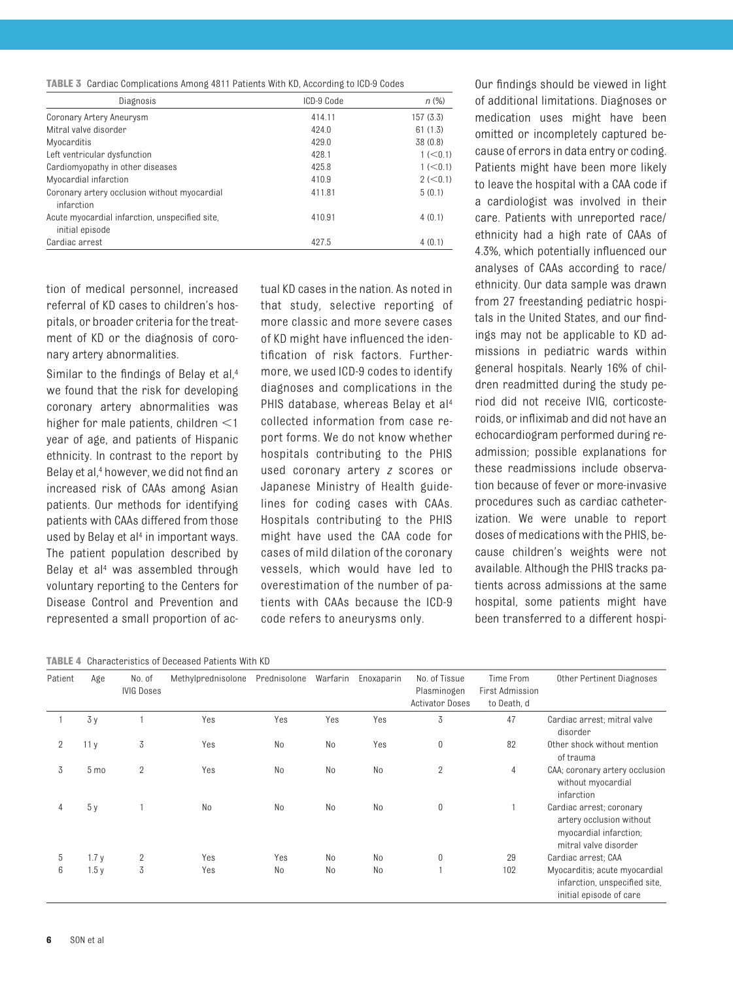|  |  |  | TABLE 3 Cardiac Complications Among 4811 Patients With KD, According to ICD-9 Codes |  |
|--|--|--|-------------------------------------------------------------------------------------|--|
|  |  |  |                                                                                     |  |

| Diagnosis                                                         | ICD-9 Code | n(%)      |
|-------------------------------------------------------------------|------------|-----------|
| Coronary Artery Aneurysm                                          | 414.11     | 157(3.3)  |
| Mitral valve disorder                                             | 424.0      | 61(1.3)   |
| Myocarditis                                                       | 429.0      | 38 (0.8)  |
| Left ventricular dysfunction                                      | 428.1      | 1 (< 0.1) |
| Cardiomyopathy in other diseases                                  | 425.8      | 1 (< 0.1) |
| Myocardial infarction                                             | 410.9      | 2 (< 0.1) |
| Coronary artery occlusion without myocardial<br>infarction        | 411.81     | 5(0.1)    |
| Acute myocardial infarction, unspecified site,<br>initial episode | 410.91     | 4(0.1)    |
| Cardiac arrest                                                    | 427.5      | 4(0.1)    |

tion of medical personnel, increased referral of KD cases to children's hospitals, or broader criteria for the treatment of KD or the diagnosis of coronary artery abnormalities.

Similar to the findings of Belay et al,<sup>4</sup> we found that the risk for developing coronary artery abnormalities was higher for male patients, children  $\leq$ 1 year of age, and patients of Hispanic ethnicity. In contrast to the report by Belay et al,<sup>4</sup> however, we did not find an increased risk of CAAs among Asian patients. Our methods for identifying patients with CAAs differed from those used by Belay et al<sup>4</sup> in important ways. The patient population described by Belay et al<sup>4</sup> was assembled through voluntary reporting to the Centers for Disease Control and Prevention and represented a small proportion of actual KD cases in the nation. As noted in that study, selective reporting of more classic and more severe cases of KD might have influenced the identification of risk factors. Furthermore, we used ICD-9 codes to identify diagnoses and complications in the PHIS database, whereas Belay et al<sup>4</sup> collected information from case report forms. We do not know whether hospitals contributing to the PHIS used coronary artery *z* scores or Japanese Ministry of Health guidelines for coding cases with CAAs. Hospitals contributing to the PHIS might have used the CAA code for cases of mild dilation of the coronary vessels, which would have led to overestimation of the number of patients with CAAs because the ICD-9 code refers to aneurysms only.

Our findings should be viewed in light of additional limitations. Diagnoses or medication uses might have been omitted or incompletely captured because of errors in data entry or coding. Patients might have been more likely to leave the hospital with a CAA code if a cardiologist was involved in their care. Patients with unreported race/ ethnicity had a high rate of CAAs of 4.3%, which potentially influenced our analyses of CAAs according to race/ ethnicity. Our data sample was drawn from 27 freestanding pediatric hospitals in the United States, and our findings may not be applicable to KD admissions in pediatric wards within general hospitals. Nearly 16% of children readmitted during the study period did not receive IVIG, corticosteroids, or infliximab and did not have an echocardiogram performed during readmission; possible explanations for these readmissions include observation because of fever or more-invasive procedures such as cardiac catheterization. We were unable to report doses of medications with the PHIS, because children's weights were not available. Although the PHIS tracks patients across admissions at the same hospital, some patients might have been transferred to a different hospi-

**TABLE 4** Characteristics of Deceased Patients With KD

| Patient        | Age             | No. of<br><b>IVIG Doses</b> | Methylprednisolone | Prednisolone | Warfarin       | Enoxaparin     | No. of Tissue<br>Plasminogen<br><b>Activator Doses</b> | Time From<br>First Admission<br>to Death, d | Other Pertinent Diagnoses                                                                               |
|----------------|-----------------|-----------------------------|--------------------|--------------|----------------|----------------|--------------------------------------------------------|---------------------------------------------|---------------------------------------------------------------------------------------------------------|
|                | 3y              |                             | Yes                | Yes          | Yes            | Yes            | 3                                                      | 47                                          | Cardiac arrest; mitral valve<br>disorder                                                                |
| $\overline{2}$ | 11y             | 3                           | Yes                | No           | No             | Yes            | 0                                                      | 82                                          | Other shock without mention<br>of trauma                                                                |
| 3              | 5 <sub>mo</sub> | $\overline{2}$              | Yes                | No           | No             | No             | $\overline{2}$                                         | 4                                           | CAA; coronary artery occlusion<br>without myocardial<br>infarction                                      |
| 4              | 5y              |                             | No                 | No           | N <sub>0</sub> | N <sub>o</sub> | 0                                                      |                                             | Cardiac arrest; coronary<br>artery occlusion without<br>myocardial infarction;<br>mitral valve disorder |
| 5              | 1.7y            | $\overline{2}$              | Yes                | Yes          | N <sub>0</sub> | N <sub>o</sub> | $\mathbf{0}$                                           | 29                                          | Cardiac arrest; CAA                                                                                     |
| 6              | 1.5y            | 3                           | Yes                | No           | N <sub>0</sub> | N <sub>o</sub> |                                                        | 102                                         | Myocarditis; acute myocardial<br>infarction, unspecified site,<br>initial episode of care               |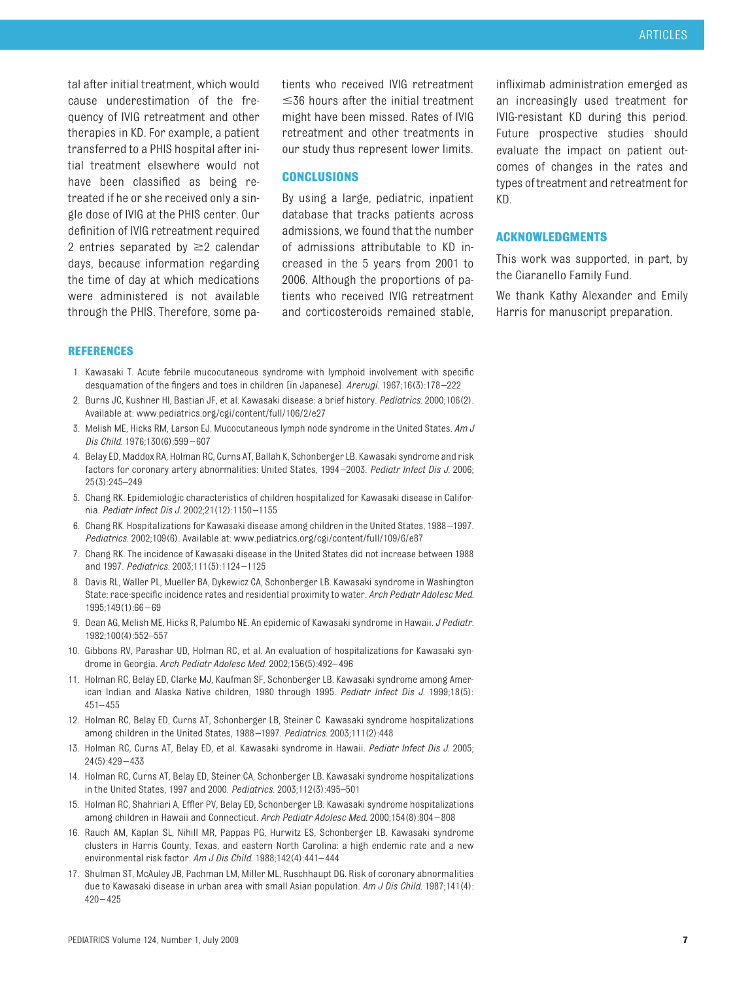tal after initial treatment, which would cause underestimation of the frequency of IVIG retreatment and other therapies in KD. For example, a patient transferred to a PHIS hospital after initial treatment elsewhere would not have been classified as being retreated if he or she received only a single dose of IVIG at the PHIS center. Our definition of IVIG retreatment required 2 entries separated by  $\geq$  calendar days, because information regarding the time of day at which medications were administered is not available through the PHIS. Therefore, some patients who received IVIG retreatment  $\leq$ 36 hours after the initial treatment might have been missed. Rates of IVIG retreatment and other treatments in our study thus represent lower limits.

#### **CONCLUSIONS**

By using a large, pediatric, inpatient database that tracks patients across admissions, we found that the number of admissions attributable to KD increased in the 5 years from 2001 to 2006. Although the proportions of patients who received IVIG retreatment and corticosteroids remained stable,

infliximab administration emerged as an increasingly used treatment for IVIG-resistant KD during this period. Future prospective studies should evaluate the impact on patient outcomes of changes in the rates and types of treatment and retreatment for KD.

## **ACKNOWLEDGMENTS**

This work was supported, in part, by the Ciaranello Family Fund.

We thank Kathy Alexander and Emily Harris for manuscript preparation.

#### **REFERENCES**

- 1. Kawasaki T. Acute febrile mucocutaneous syndrome with lymphoid involvement with specific desquamation of the fingers and toes in children [in Japanese]. *Arerugi.* 1967;16(3):178 –222
- 2. Burns JC, Kushner HI, Bastian JF, et al. Kawasaki disease: a brief history. *Pediatrics.* 2000;106(2). Available at: www.pediatrics.org/cgi/content/full/106/2/e27
- 3. Melish ME, Hicks RM, Larson EJ. Mucocutaneous lymph node syndrome in the United States. *Am J Dis Child.* 1976;130(6):599 – 607
- 4. Belay ED, Maddox RA, Holman RC, Curns AT, Ballah K, Schonberger LB. Kawasaki syndrome and risk factors for coronary artery abnormalities: United States, 1994 –2003. *Pediatr Infect Dis J.* 2006; 25(3):245–249
- 5. Chang RK. Epidemiologic characteristics of children hospitalized for Kawasaki disease in California. *Pediatr Infect Dis J.* 2002;21(12):1150 –1155
- 6. Chang RK. Hospitalizations for Kawasaki disease among children in the United States, 1988 –1997. *Pediatrics.* 2002;109(6). Available at: www.pediatrics.org/cgi/content/full/109/6/e87
- 7. Chang RK. The incidence of Kawasaki disease in the United States did not increase between 1988 and 1997. *Pediatrics.* 2003;111(5):1124 –1125
- 8. Davis RL, Waller PL, Mueller BA, Dykewicz CA, Schonberger LB. Kawasaki syndrome in Washington State: race-specific incidence rates and residential proximity to water. *Arch Pediatr Adolesc Med.* 1995;149(1):66 – 69
- 9. Dean AG, Melish ME, Hicks R, Palumbo NE. An epidemic of Kawasaki syndrome in Hawaii. *J Pediatr.* 1982;100(4):552–557
- 10. Gibbons RV, Parashar UD, Holman RC, et al. An evaluation of hospitalizations for Kawasaki syndrome in Georgia. *Arch Pediatr Adolesc Med.* 2002;156(5):492– 496
- 11. Holman RC, Belay ED, Clarke MJ, Kaufman SF, Schonberger LB. Kawasaki syndrome among American Indian and Alaska Native children, 1980 through 1995. *Pediatr Infect Dis J.* 1999;18(5): 451– 455
- 12. Holman RC, Belay ED, Curns AT, Schonberger LB, Steiner C. Kawasaki syndrome hospitalizations among children in the United States, 1988 –1997. *Pediatrics.* 2003;111(2):448
- 13. Holman RC, Curns AT, Belay ED, et al. Kawasaki syndrome in Hawaii. *Pediatr Infect Dis J.* 2005; 24(5):429 – 433
- 14. Holman RC, Curns AT, Belay ED, Steiner CA, Schonberger LB. Kawasaki syndrome hospitalizations in the United States, 1997 and 2000. *Pediatrics.* 2003;112(3):495–501
- 15. Holman RC, Shahriari A, Effler PV, Belay ED, Schonberger LB. Kawasaki syndrome hospitalizations among children in Hawaii and Connecticut. *Arch Pediatr Adolesc Med.* 2000;154(8):804 – 808
- 16. Rauch AM, Kaplan SL, Nihill MR, Pappas PG, Hurwitz ES, Schonberger LB. Kawasaki syndrome clusters in Harris County, Texas, and eastern North Carolina: a high endemic rate and a new environmental risk factor. *Am J Dis Child.* 1988;142(4):441– 444
- 17. Shulman ST, McAuley JB, Pachman LM, Miller ML, Ruschhaupt DG. Risk of coronary abnormalities due to Kawasaki disease in urban area with small Asian population. *Am J Dis Child.* 1987;141(4):  $420 - 425$